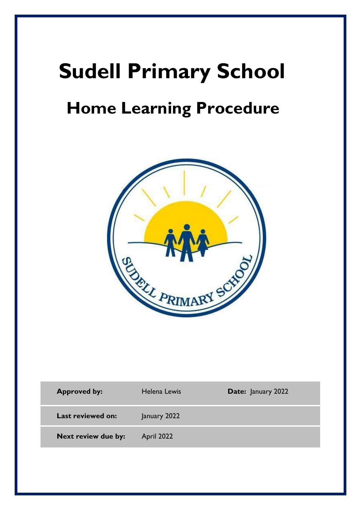# **Sudell Primary School**

## **Home Learning Procedure**



| <b>Approved by:</b> | Helena Lewis | <b>Date:</b> January 2022 |
|---------------------|--------------|---------------------------|
| Last reviewed on:   | January 2022 |                           |
| Next review due by: | April 2022   |                           |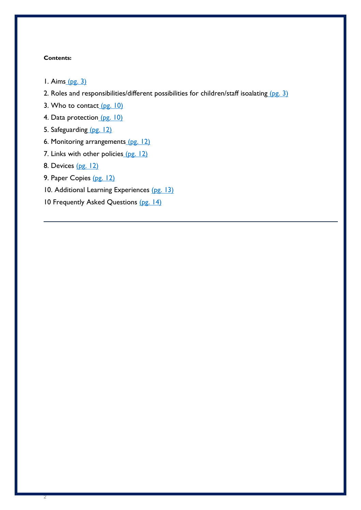#### **Contents:**

- [1. Aims](#page-1-0) (pg. 3)
- 2. Roles and responsibilities/different possibilities for children/staff isoalating (pg. 3)
- [3. Who to contact](#page-9-0)  $(pg. 10)$
- [4. Data protection](#page-10-0) (pg. 10)
- [5. Safeguarding](#page-11-0) (pg. 12)
- [6. Monitoring arrangements](#page-11-1) (pg. 12)
- [7. Links with other policies](#page-11-2) (pg. 12)
- 8. Devices (pg. 12)

2

- 9. Paper Copies (pg. 12)
- 10. Additional Learning Experiences (pg. 13)
- <span id="page-1-0"></span>10 Frequently Asked Questions (pg. 14)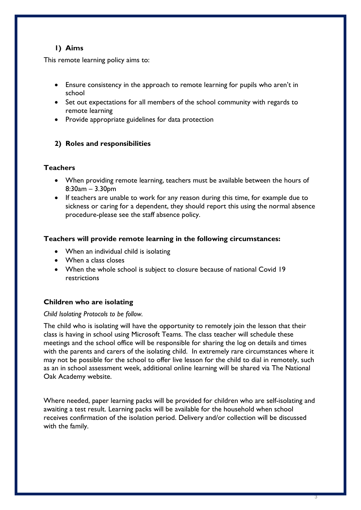## **1) Aims**

This remote learning policy aims to:

- Ensure consistency in the approach to remote learning for pupils who aren't in school
- Set out expectations for all members of the school community with regards to remote learning
- Provide appropriate guidelines for data protection

## **2) Roles and responsibilities**

## **Teachers**

- When providing remote learning, teachers must be available between the hours of 8:30am – 3.30pm
- If teachers are unable to work for any reason during this time, for example due to sickness or caring for a dependent, they should report this using the normal absence procedure-please see the staff absence policy.

## **Teachers will provide remote learning in the following circumstances:**

- When an individual child is isolating
- When a class closes
- When the whole school is subject to closure because of national Covid 19 restrictions

## **Children who are isolating**

#### *Child Isolating Protocols to be follow.*

The child who is isolating will have the opportunity to remotely join the lesson that their class is having in school using Microsoft Teams. The class teacher will schedule these meetings and the school office will be responsible for sharing the log on details and times with the parents and carers of the isolating child. In extremely rare circumstances where it may not be possible for the school to offer live lesson for the child to dial in remotely, such as an in school assessment week, additional online learning will be shared via The National Oak Academy website.

Where needed, paper learning packs will be provided for children who are self-isolating and awaiting a test result. Learning packs will be available for the household when school receives confirmation of the isolation period. Delivery and/or collection will be discussed with the family.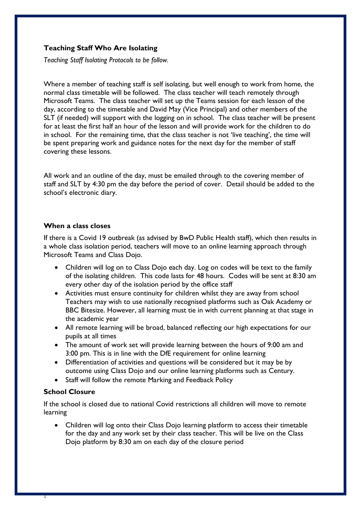### **Teaching Staff Who Are Isolating**

*Teaching Staff Isolating Protocols to be follow.*

Where a member of teaching staff is self isolating, but well enough to work from home, the normal class timetable will be followed. The class teacher will teach remotely through Microsoft Teams. The class teacher will set up the Teams session for each lesson of the day, according to the timetable and David May (Vice Principal) and other members of the SLT (if needed) will support with the logging on in school. The class teacher will be present for at least the first half an hour of the lesson and will provide work for the children to do in school. For the remaining time, that the class teacher is not 'live teaching', the time will be spent preparing work and guidance notes for the next day for the member of staff covering these lessons.

All work and an outline of the day, must be emailed through to the covering member of staff and SLT by 4:30 pm the day before the period of cover. Detail should be added to the school's electronic diary.

#### **When a class closes**

If there is a Covid 19 outbreak (as advised by BwD Public Health staff), which then results in a whole class isolation period, teachers will move to an online learning approach through Microsoft Teams and Class Dojo.

- Children will log on to Class Dojo each day. Log on codes will be text to the family of the isolating children. This code lasts for 48 hours. Codes will be sent at 8:30 am every other day of the isolation period by the office staff
- Activities must ensure continuity for children whilst they are away from school Teachers may wish to use nationally recognised platforms such as Oak Academy or BBC Bitesize. However, all learning must tie in with current planning at that stage in the academic year
- All remote learning will be broad, balanced reflecting our high expectations for our pupils at all times
- The amount of work set will provide learning between the hours of 9:00 am and 3:00 pm. This is in line with the DfE requirement for online learning
- Differentiation of activities and questions will be considered but it may be by outcome using Class Dojo and our online learning platforms such as Century.
- Staff will follow the remote Marking and Feedback Policy

#### **School Closure**

4

If the school is closed due to national Covid restrictions all children will move to remote learning

• Children will log onto their Class Dojo learning platform to access their timetable for the day and any work set by their class teacher. This will be live on the Class Dojo platform by 8:30 am on each day of the closure period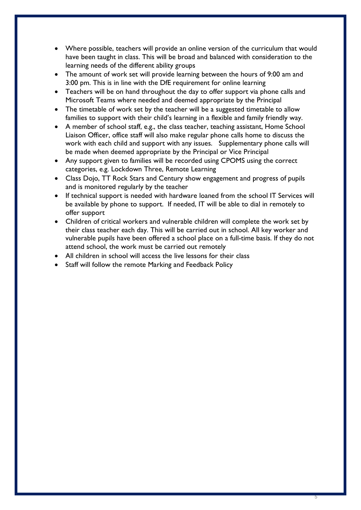- Where possible, teachers will provide an online version of the curriculum that would have been taught in class. This will be broad and balanced with consideration to the learning needs of the different ability groups
- The amount of work set will provide learning between the hours of 9:00 am and 3:00 pm. This is in line with the DfE requirement for online learning
- Teachers will be on hand throughout the day to offer support via phone calls and Microsoft Teams where needed and deemed appropriate by the Principal
- The timetable of work set by the teacher will be a suggested timetable to allow families to support with their child's learning in a flexible and family friendly way.
- A member of school staff, e.g., the class teacher, teaching assistant, Home School Liaison Officer, office staff will also make regular phone calls home to discuss the work with each child and support with any issues. Supplementary phone calls will be made when deemed appropriate by the Principal or Vice Principal
- Any support given to families will be recorded using CPOMS using the correct categories, e.g. Lockdown Three, Remote Learning
- Class Dojo, TT Rock Stars and Century show engagement and progress of pupils and is monitored regularly by the teacher
- If technical support is needed with hardware loaned from the school IT Services will be available by phone to support. If needed, IT will be able to dial in remotely to offer support
- Children of critical workers and vulnerable children will complete the work set by their class teacher each day. This will be carried out in school. All key worker and vulnerable pupils have been offered a school place on a full-time basis. If they do not attend school, the work must be carried out remotely
- All children in school will access the live lessons for their class
- Staff will follow the remote Marking and Feedback Policy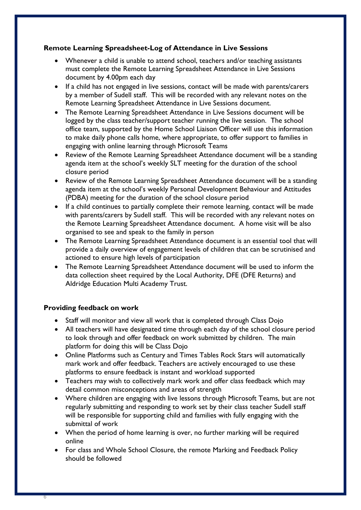## **Remote Learning Spreadsheet-Log of Attendance in Live Sessions**

- Whenever a child is unable to attend school, teachers and/or teaching assistants must complete the Remote Learning Spreadsheet Attendance in Live Sessions document by 4.00pm each day
- If a child has not engaged in live sessions, contact will be made with parents/carers by a member of Sudell staff. This will be recorded with any relevant notes on the Remote Learning Spreadsheet Attendance in Live Sessions document.
- The Remote Learning Spreadsheet Attendance in Live Sessions document will be logged by the class teacher/support teacher running the live session. The school office team, supported by the Home School Liaison Officer will use this information to make daily phone calls home, where appropriate, to offer support to families in engaging with online learning through Microsoft Teams
- Review of the Remote Learning Spreadsheet Attendance document will be a standing agenda item at the school's weekly SLT meeting for the duration of the school closure period
- Review of the Remote Learning Spreadsheet Attendance document will be a standing agenda item at the school's weekly Personal Development Behaviour and Attitudes (PDBA) meeting for the duration of the school closure period
- If a child continues to partially complete their remote learning, contact will be made with parents/carers by Sudell staff. This will be recorded with any relevant notes on the Remote Learning Spreadsheet Attendance document. A home visit will be also organised to see and speak to the family in person
- The Remote Learning Spreadsheet Attendance document is an essential tool that will provide a daily overview of engagement levels of children that can be scrutinised and actioned to ensure high levels of participation
- The Remote Learning Spreadsheet Attendance document will be used to inform the data collection sheet required by the Local Authority, DFE (DFE Returns) and Aldridge Education Multi Academy Trust.

## **Providing feedback on work**

- Staff will monitor and view all work that is completed through Class Dojo
- All teachers will have designated time through each day of the school closure period to look through and offer feedback on work submitted by children. The main platform for doing this will be Class Dojo
- Online Platforms such as Century and Times Tables Rock Stars will automatically mark work and offer feedback. Teachers are actively encouraged to use these platforms to ensure feedback is instant and workload supported
- Teachers may wish to collectively mark work and offer class feedback which may detail common misconceptions and areas of strength
- Where children are engaging with live lessons through Microsoft Teams, but are not regularly submitting and responding to work set by their class teacher Sudell staff will be responsible for supporting child and families with fully engaging with the submittal of work
- When the period of home learning is over, no further marking will be required online
- For class and Whole School Closure, the remote Marking and Feedback Policy should be followed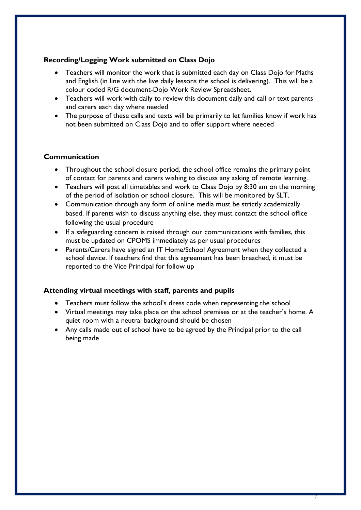## **Recording/Logging Work submitted on Class Dojo**

- Teachers will monitor the work that is submitted each day on Class Dojo for Maths and English (in line with the live daily lessons the school is delivering). This will be a colour coded R/G document-Dojo Work Review Spreadsheet.
- Teachers will work with daily to review this document daily and call or text parents and carers each day where needed
- The purpose of these calls and texts will be primarily to let families know if work has not been submitted on Class Dojo and to offer support where needed

## **Communication**

- Throughout the school closure period, the school office remains the primary point of contact for parents and carers wishing to discuss any asking of remote learning.
- Teachers will post all timetables and work to Class Dojo by 8:30 am on the morning of the period of isolation or school closure. This will be monitored by SLT.
- Communication through any form of online media must be strictly academically based. If parents wish to discuss anything else, they must contact the school office following the usual procedure
- If a safeguarding concern is raised through our communications with families, this must be updated on CPOMS immediately as per usual procedures
- Parents/Carers have signed an IT Home/School Agreement when they collected a school device. If teachers find that this agreement has been breached, it must be reported to the Vice Principal for follow up

## **Attending virtual meetings with staff, parents and pupils**

- Teachers must follow the school's dress code when representing the school
- Virtual meetings may take place on the school premises or at the teacher's home. A quiet room with a neutral background should be chosen
- Any calls made out of school have to be agreed by the Principal prior to the call being made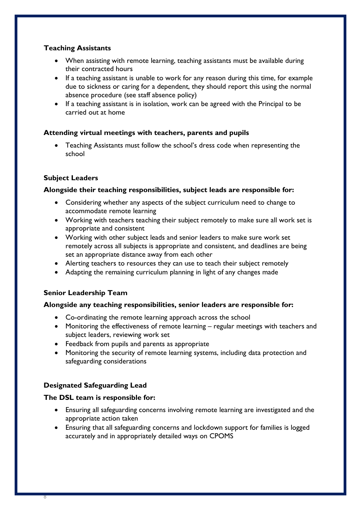## **Teaching Assistants**

- When assisting with remote learning, teaching assistants must be available during their contracted hours
- If a teaching assistant is unable to work for any reason during this time, for example due to sickness or caring for a dependent, they should report this using the normal absence procedure (see staff absence policy)
- If a teaching assistant is in isolation, work can be agreed with the Principal to be carried out at home

## **Attending virtual meetings with teachers, parents and pupils**

• Teaching Assistants must follow the school's dress code when representing the school

## **Subject Leaders**

## **Alongside their teaching responsibilities, subject leads are responsible for:**

- Considering whether any aspects of the subject curriculum need to change to accommodate remote learning
- Working with teachers teaching their subject remotely to make sure all work set is appropriate and consistent
- Working with other subject leads and senior leaders to make sure work set remotely across all subjects is appropriate and consistent, and deadlines are being set an appropriate distance away from each other
- Alerting teachers to resources they can use to teach their subject remotely
- Adapting the remaining curriculum planning in light of any changes made

## **Senior Leadership Team**

## **Alongside any teaching responsibilities, senior leaders are responsible for:**

- Co-ordinating the remote learning approach across the school
- Monitoring the effectiveness of remote learning regular meetings with teachers and subject leaders, reviewing work set
- Feedback from pupils and parents as appropriate
- Monitoring the security of remote learning systems, including data protection and safeguarding considerations

## **Designated Safeguarding Lead**

8

## **The DSL team is responsible for:**

- Ensuring all safeguarding concerns involving remote learning are investigated and the appropriate action taken
- Ensuring that all safeguarding concerns and lockdown support for families is logged accurately and in appropriately detailed ways on CPOMS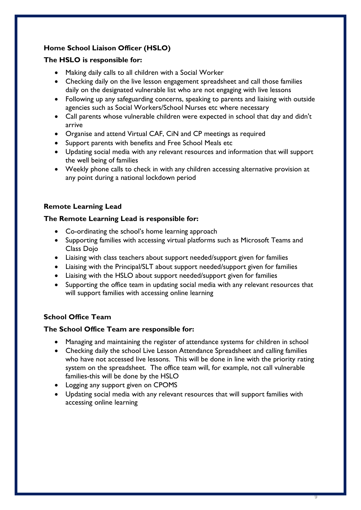## **Home School Liaison Officer (HSLO)**

## **The HSLO is responsible for:**

- Making daily calls to all children with a Social Worker
- Checking daily on the live lesson engagement spreadsheet and call those families daily on the designated vulnerable list who are not engaging with live lessons
- Following up any safeguarding concerns, speaking to parents and liaising with outside agencies such as Social Workers/School Nurses etc where necessary
- Call parents whose vulnerable children were expected in school that day and didn't arrive
- Organise and attend Virtual CAF, CiN and CP meetings as required
- Support parents with benefits and Free School Meals etc
- Updating social media with any relevant resources and information that will support the well being of families
- Weekly phone calls to check in with any children accessing alternative provision at any point during a national lockdown period

## **Remote Learning Lead**

## **The Remote Learning Lead is responsible for:**

- Co-ordinating the school's home learning approach
- Supporting families with accessing virtual platforms such as Microsoft Teams and Class Dojo
- Liaising with class teachers about support needed/support given for families
- Liaising with the Principal/SLT about support needed/support given for families
- Liaising with the HSLO about support needed/support given for families
- Supporting the office team in updating social media with any relevant resources that will support families with accessing online learning

## **School Office Team**

## **The School Office Team are responsible for:**

- Managing and maintaining the register of attendance systems for children in school
- Checking daily the school Live Lesson Attendance Spreadsheet and calling families who have not accessed live lessons. This will be done in line with the priority rating system on the spreadsheet. The office team will, for example, not call vulnerable families-this will be done by the HSLO
- Logging any support given on CPOMS
- Updating social media with any relevant resources that will support families with accessing online learning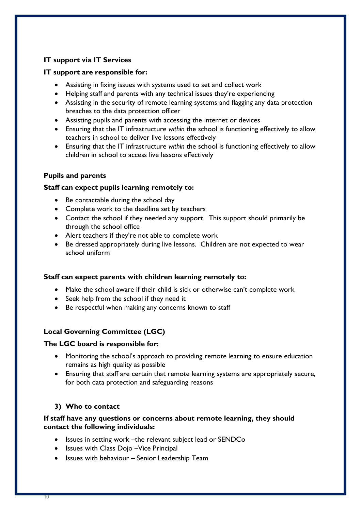## **IT support via IT Services**

#### **IT support are responsible for:**

- Assisting in fixing issues with systems used to set and collect work
- Helping staff and parents with any technical issues they're experiencing
- Assisting in the security of remote learning systems and flagging any data protection breaches to the data protection officer
- Assisting pupils and parents with accessing the internet or devices
- Ensuring that the IT infrastructure *within* the school is functioning effectively to allow teachers in school to deliver live lessons effectively
- Ensuring that the IT infrastructure *within* the school is functioning effectively to allow children in school to access live lessons effectively

#### **Pupils and parents**

#### **Staff can expect pupils learning remotely to:**

- Be contactable during the school day
- Complete work to the deadline set by teachers
- Contact the school if they needed any support. This support should primarily be through the school office
- Alert teachers if they're not able to complete work
- Be dressed appropriately during live lessons. Children are not expected to wear school uniform

#### **Staff can expect parents with children learning remotely to:**

- Make the school aware if their child is sick or otherwise can't complete work
- Seek help from the school if they need it
- Be respectful when making any concerns known to staff

## **Local Governing Committee (LGC)**

#### **The LGC board is responsible for:**

- Monitoring the school's approach to providing remote learning to ensure education remains as high quality as possible
- Ensuring that staff are certain that remote learning systems are appropriately secure, for both data protection and safeguarding reasons

## <span id="page-9-0"></span>**3) Who to contact**

#### **If staff have any questions or concerns about remote learning, they should contact the following individuals:**

- Issues in setting work –the relevant subject lead or SENDCo
- Issues with Class Dojo –Vice Principal
- Issues with behaviour Senior Leadership Team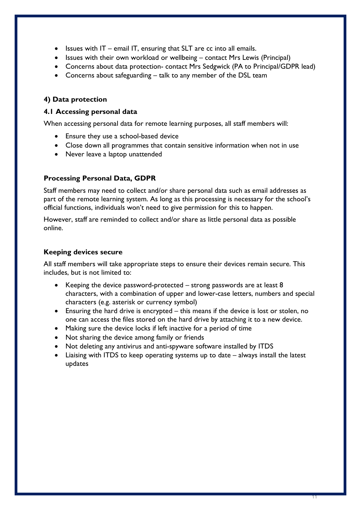- Issues with  $IT e$  email IT, ensuring that SLT are cc into all emails.
- Issues with their own workload or wellbeing contact Mrs Lewis (Principal)
- Concerns about data protection- contact Mrs Sedgwick (PA to Principal/GDPR lead)
- Concerns about safeguarding talk to any member of the DSL team

#### <span id="page-10-0"></span>**4) Data protection**

#### **4.1 Accessing personal data**

When accessing personal data for remote learning purposes, all staff members will:

- Ensure they use a school-based device
- Close down all programmes that contain sensitive information when not in use
- Never leave a laptop unattended

#### **Processing Personal Data, GDPR**

Staff members may need to collect and/or share personal data such as email addresses as part of the remote learning system. As long as this processing is necessary for the school's official functions, individuals won't need to give permission for this to happen.

However, staff are reminded to collect and/or share as little personal data as possible online.

#### **Keeping devices secure**

All staff members will take appropriate steps to ensure their devices remain secure. This includes, but is not limited to:

- Keeping the device password-protected strong passwords are at least 8 characters, with a combination of upper and lower-case letters, numbers and special characters (e.g. asterisk or currency symbol)
- Ensuring the hard drive is encrypted this means if the device is lost or stolen, no one can access the files stored on the hard drive by attaching it to a new device.
- Making sure the device locks if left inactive for a period of time
- Not sharing the device among family or friends
- Not deleting any antivirus and anti-spyware software installed by ITDS
- Liaising with ITDS to keep operating systems up to date always install the latest updates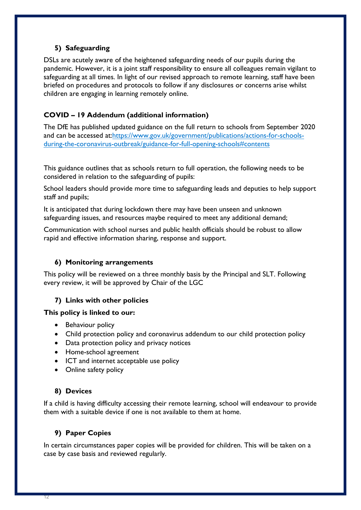## <span id="page-11-0"></span>**5) Safeguarding**

DSLs are acutely aware of the heightened safeguarding needs of our pupils during the pandemic. However, it is a joint staff responsibility to ensure all colleagues remain vigilant to safeguarding at all times. In light of our revised approach to remote learning, staff have been briefed on procedures and protocols to follow if any disclosures or concerns arise whilst children are engaging in learning remotely online.

## **COVID – 19 Addendum (additional information)**

The DfE has published updated guidance on the full return to schools from September 2020 and can be accessed at[:https://www.gov.uk/government/publications/actions-for-schools](https://www.gov.uk/government/publications/actions-for-schools-during-the-coronavirus-outbreak/guidance-for-full-opening-schools#contents)[during-the-coronavirus-outbreak/guidance-for-full-opening-schools#contents](https://www.gov.uk/government/publications/actions-for-schools-during-the-coronavirus-outbreak/guidance-for-full-opening-schools#contents)

This guidance outlines that as schools return to full operation, the following needs to be considered in relation to the safeguarding of pupils:

School leaders should provide more time to safeguarding leads and deputies to help support staff and pupils;

It is anticipated that during lockdown there may have been unseen and unknown safeguarding issues, and resources maybe required to meet any additional demand;

Communication with school nurses and public health officials should be robust to allow rapid and effective information sharing, response and support.

## <span id="page-11-1"></span>**6) Monitoring arrangements**

This policy will be reviewed on a three monthly basis by the Principal and SLT. Following every review, it will be approved by Chair of the LGC

## <span id="page-11-2"></span>**7) Links with other policies**

#### **This policy is linked to our:**

- Behaviour policy
- Child protection policy and coronavirus addendum to our child protection policy
- Data protection policy and privacy notices
- Home-school agreement
- ICT and internet acceptable use policy
- Online safety policy

## **8) Devices**

If a child is having difficulty accessing their remote learning, school will endeavour to provide them with a suitable device if one is not available to them at home.

## **9) Paper Copies**

In certain circumstances paper copies will be provided for children. This will be taken on a case by case basis and reviewed regularly.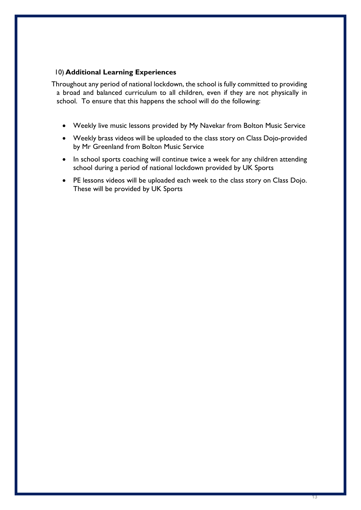#### 10) **Additional Learning Experiences**

Throughout any period of national lockdown, the school is fully committed to providing a broad and balanced curriculum to all children, even if they are not physically in school. To ensure that this happens the school will do the following:

- Weekly live music lessons provided by My Navekar from Bolton Music Service
- Weekly brass videos will be uploaded to the class story on Class Dojo-provided by Mr Greenland from Bolton Music Service
- In school sports coaching will continue twice a week for any children attending school during a period of national lockdown provided by UK Sports
- PE lessons videos will be uploaded each week to the class story on Class Dojo. These will be provided by UK Sports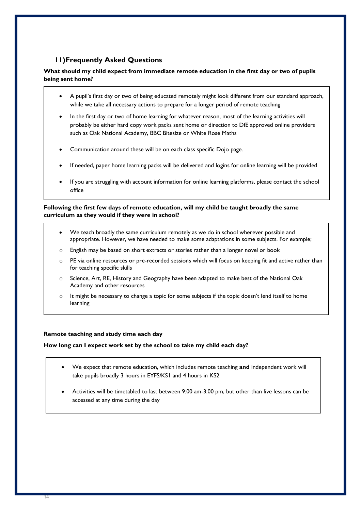## **11)Frequently Asked Questions**

#### **What should my child expect from immediate remote education in the first day or two of pupils being sent home?**

- A pupil's first day or two of being educated remotely might look different from our standard approach, while we take all necessary actions to prepare for a longer period of remote teaching
- In the first day or two of home learning for whatever reason, most of the learning activities will probably be either hard copy work packs sent home or direction to DfE approved online providers such as Oak National Academy, BBC Bitesize or White Rose Maths
- Communication around these will be on each class specific Dojo page.
- If needed, paper home learning packs will be delivered and logins for online learning will be provided
- If you are struggling with account information for online learning platforms, please contact the school office

#### **Following the first few days of remote education, will my child be taught broadly the same curriculum as they would if they were in school?**

- We teach broadly the same curriculum remotely as we do in school wherever possible and appropriate. However, we have needed to make some adaptations in some subjects. For example;
- o English may be based on short extracts or stories rather than a longer novel or book
- o PE via online resources or pre-recorded sessions which will focus on keeping fit and active rather than for teaching specific skills
- Science, Art, RE, History and Geography have been adapted to make best of the National Oak Academy and other resources
- o It might be necessary to change a topic for some subjects if the topic doesn't lend itself to home learning

#### **Remote teaching and study time each day**

**How long can I expect work set by the school to take my child each day?**

- We expect that remote education, which includes remote teaching **and** independent work will take pupils broadly 3 hours in EYFS/KS1 and 4 hours in KS2
- Activities will be timetabled to last between 9:00 am-3:00 pm, but other than live lessons can be accessed at any time during the day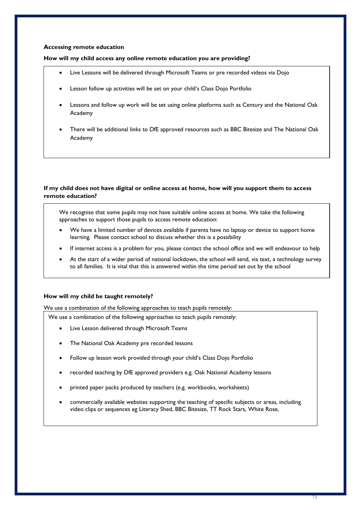#### **Accessing remote education**

#### **How will my child access any online remote education you are providing?**

- Live Lessons will be delivered through Microsoft Teams or pre recorded videos via Dojo
- Lesson follow up activities will be set on your child's Class Dojo Portfolio
- Lessons and follow up work will be set using online platforms such as Century and the National Oak Academy
- There will be additional links to DfE approved resources such as BBC Bitesize and The National Oak Academy

#### **If my child does not have digital or online access at home, how will you support them to access remote education?**

We recognise that some pupils may not have suitable online access at home. We take the following approaches to support those pupils to access remote education:

- We have a limited number of devices available if parents have no laptop or device to support home learning. Please contact school to discuss whether this is a possibility
- If internet access is a problem for you, please contact the school office and we will endeavour to help
- At the start of a wider period of national lockdown, the school will send, via text, a technology survey to all families. It is vital that this is answered within the time period set out by the school

#### **How will my child be taught remotely?**

We use a combination of the following approaches to teach pupils remotely:

We use a combination of the following approaches to teach pupils remotely:

- Live Lesson delivered through Microsoft Teams
- The National Oak Academy pre recorded lessons
- Follow up lesson work provided through your child's Class Dojo Portfolio
- recorded teaching by DfE approved providers e.g. Oak National Academy lessons
- printed paper packs produced by teachers (e.g. workbooks, worksheets)
- commercially available websites supporting the teaching of specific subjects or areas, including video clips or sequences eg Literacy Shed, BBC Bitesize, TT Rock Stars, White Rose,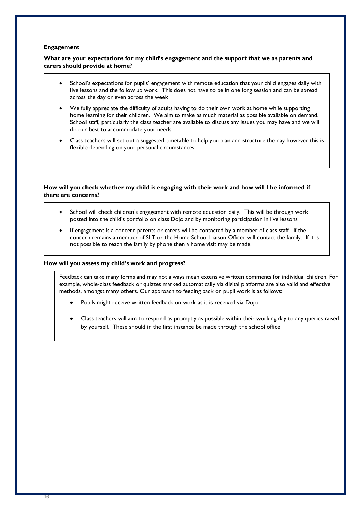#### **Engagement**

#### **What are your expectations for my child's engagement and the support that we as parents and carers should provide at home?**

- School's expectations for pupils' engagement with remote education that your child engages daily with live lessons and the follow up work. This does not have to be in one long session and can be spread across the day or even across the week
- We fully appreciate the difficulty of adults having to do their own work at home while supporting home learning for their children. We aim to make as much material as possible available on demand. School staff, particularly the class teacher are available to discuss any issues you may have and we will do our best to accommodate your needs.
- Class teachers will set out a suggested timetable to help you plan and structure the day however this is flexible depending on your personal circumstances

#### **How will you check whether my child is engaging with their work and how will I be informed if there are concerns?**

- School will check children's engagement with remote education daily. This will be through work posted into the child's portfolio on class Dojo and by monitoring participation in live lessons
- If engagement is a concern parents or carers will be contacted by a member of class staff. If the concern remains a member of SLT or the Home School Liaison Officer will contact the family. If it is not possible to reach the family by phone then a home visit may be made.

#### **How will you assess my child's work and progress?**

Feedback can take many forms and may not always mean extensive written comments for individual children. For example, whole-class feedback or quizzes marked automatically via digital platforms are also valid and effective methods, amongst many others. Our approach to feeding back on pupil work is as follows:

- Pupils might receive written feedback on work as it is received via Dojo
- Class teachers will aim to respond as promptly as possible within their working day to any queries raised by yourself. These should in the first instance be made through the school office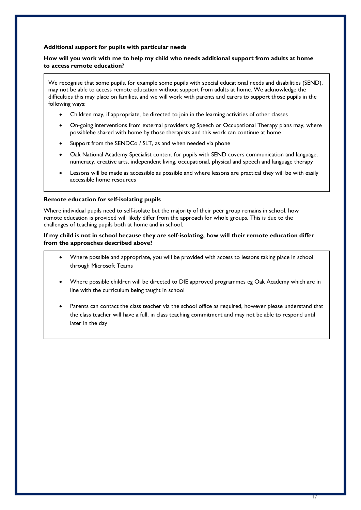#### **Additional support for pupils with particular needs**

#### **How will you work with me to help my child who needs additional support from adults at home to access remote education?**

We recognise that some pupils, for example some pupils with special educational needs and disabilities (SEND), may not be able to access remote education without support from adults at home. We acknowledge the difficulties this may place on families, and we will work with parents and carers to support those pupils in the following ways:

- Children may, if appropriate, be directed to join in the learning activities of other classes
- On-going interventions from external providers eg Speech or Occupational Therapy plans may, where possiblebe shared with home by those therapists and this work can continue at home
- Support from the SENDCo / SLT, as and when needed via phone
- Oak National Academy Specialist content for pupils with SEND covers communication and language, numeracy, creative arts, independent living, occupational, physical and speech and language therapy
- Lessons will be made as accessible as possible and where lessons are practical they will be with easily accessible home resources

#### **Remote education for self-isolating pupils**

Where individual pupils need to self-isolate but the majority of their peer group remains in school, how remote education is provided will likely differ from the approach for whole groups. This is due to the challenges of teaching pupils both at home and in school.

#### **If my child is not in school because they are self-isolating, how will their remote education differ from the approaches described above?**

- Where possible and appropriate, you will be provided with access to lessons taking place in school through Microsoft Teams
- Where possible children will be directed to DfE approved programmes eg Oak Academy which are in line with the curriculum being taught in school
- Parents can contact the class teacher via the school office as required, however please understand that the class teacher will have a full, in class teaching commitment and may not be able to respond until later in the day